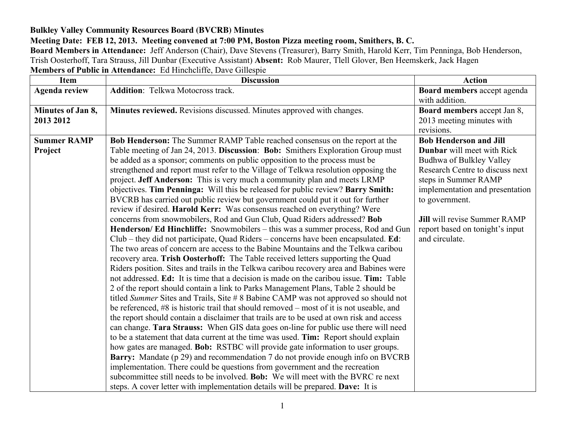## **Bulkley Valley Community Resources Board (BVCRB) Minutes Meeting Date: FEB 12, 2013. Meeting convened at 7:00 PM, Boston Pizza meeting room, Smithers, B. C. Board Members in Attendance:** Jeff Anderson (Chair), Dave Stevens (Treasurer), Barry Smith, Harold Kerr, Tim Penninga, Bob Henderson, Trish Oosterhoff, Tara Strauss, Jill Dunbar (Executive Assistant) **Absent:** Rob Maurer, Tlell Glover, Ben Heemskerk, Jack Hagen **Members of Public in Attendance:** Ed Hinchcliffe, Dave Gillespie

| <b>Item</b>          | <b>Discussion</b>                                                                        | <b>Action</b>                       |
|----------------------|------------------------------------------------------------------------------------------|-------------------------------------|
| <b>Agenda review</b> | <b>Addition:</b> Telkwa Motocross track.                                                 | Board members accept agenda         |
|                      |                                                                                          | with addition.                      |
| Minutes of Jan 8,    | Minutes reviewed. Revisions discussed. Minutes approved with changes.                    | Board members accept Jan 8,         |
| 2013 2012            |                                                                                          | 2013 meeting minutes with           |
|                      |                                                                                          | revisions.                          |
| <b>Summer RAMP</b>   | Bob Henderson: The Summer RAMP Table reached consensus on the report at the              | <b>Bob Henderson and Jill</b>       |
| Project              | Table meeting of Jan 24, 2013. Discussion: Bob: Smithers Exploration Group must          | <b>Dunbar</b> will meet with Rick   |
|                      | be added as a sponsor; comments on public opposition to the process must be              | Budhwa of Bulkley Valley            |
|                      | strengthened and report must refer to the Village of Telkwa resolution opposing the      | Research Centre to discuss next     |
|                      | project. Jeff Anderson: This is very much a community plan and meets LRMP                | steps in Summer RAMP                |
|                      | objectives. Tim Penninga: Will this be released for public review? Barry Smith:          | implementation and presentation     |
|                      | BVCRB has carried out public review but government could put it out for further          | to government.                      |
|                      | review if desired. Harold Kerr: Was consensus reached on everything? Were                |                                     |
|                      | concerns from snowmobilers, Rod and Gun Club, Quad Riders addressed? Bob                 | <b>Jill</b> will revise Summer RAMP |
|                      | Henderson/ Ed Hinchliffe: Snowmobilers - this was a summer process, Rod and Gun          | report based on tonight's input     |
|                      | Club - they did not participate, Quad Riders - concerns have been encapsulated. Ed:      | and circulate.                      |
|                      | The two areas of concern are access to the Babine Mountains and the Telkwa caribou       |                                     |
|                      | recovery area. Trish Oosterhoff: The Table received letters supporting the Quad          |                                     |
|                      | Riders position. Sites and trails in the Telkwa caribou recovery area and Babines were   |                                     |
|                      | not addressed. Ed: It is time that a decision is made on the caribou issue. Tim: Table   |                                     |
|                      | 2 of the report should contain a link to Parks Management Plans, Table 2 should be       |                                     |
|                      | titled Summer Sites and Trails, Site # 8 Babine CAMP was not approved so should not      |                                     |
|                      | be referenced, #8 is historic trail that should removed – most of it is not useable, and |                                     |
|                      | the report should contain a disclaimer that trails are to be used at own risk and access |                                     |
|                      | can change. Tara Strauss: When GIS data goes on-line for public use there will need      |                                     |
|                      | to be a statement that data current at the time was used. Tim: Report should explain     |                                     |
|                      | how gates are managed. Bob: RSTBC will provide gate information to user groups.          |                                     |
|                      | <b>Barry:</b> Mandate (p 29) and recommendation 7 do not provide enough info on BVCRB    |                                     |
|                      | implementation. There could be questions from government and the recreation              |                                     |
|                      | subcommittee still needs to be involved. <b>Bob:</b> We will meet with the BVRC renext   |                                     |
|                      | steps. A cover letter with implementation details will be prepared. Dave: It is          |                                     |